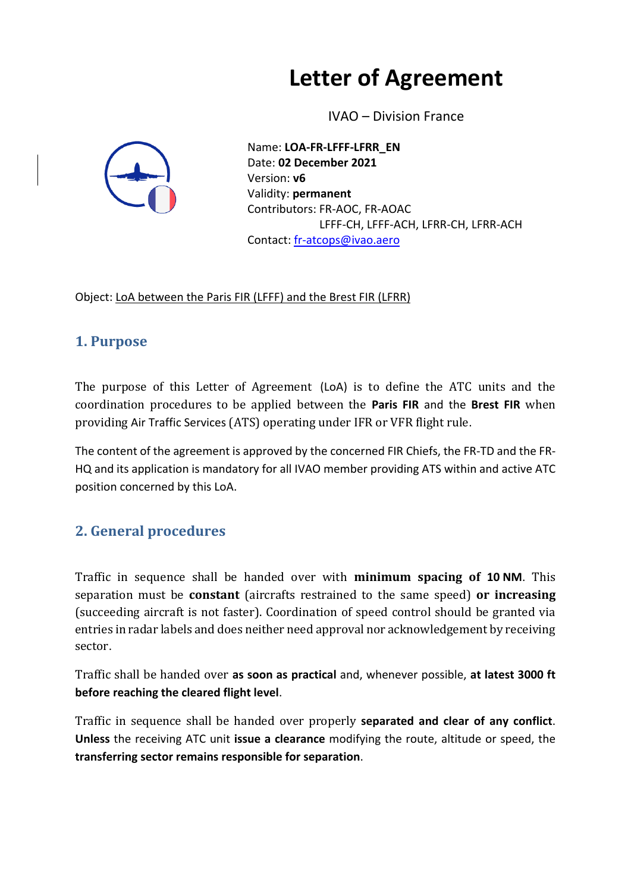# **Letter of Agreement**

IVAO – Division France



Name: **LOA-FR-LFFF-LFRR\_EN** Date: **02 December 2021** Version: **v6** Validity: **permanent** Contributors: FR-AOC, FR-AOAC LFFF-CH, LFFF-ACH, LFRR-CH, LFRR-ACH Contact: [fr-atcops@ivao.aero](mailto:fr-atcops@ivao.aero)

Object: LoA between the Paris FIR (LFFF) and the Brest FIR (LFRR)

#### **1. Purpose**

The purpose of this Letter of Agreement (LoA) is to define the ATC units and the coordination procedures to be applied between the **Paris FIR** and the **Brest FIR** when providing Air Traffic Services (ATS) operating under IFR or VFR flight rule.

The content of the agreement is approved by the concerned FIR Chiefs, the FR-TD and the FR-HQ and its application is mandatory for all IVAO member providing ATS within and active ATC position concerned by this LoA.

## **2. General procedures**

Traffic in sequence shall be handed over with **minimum spacing of 10 NM**. This separation must be **constant** (aircrafts restrained to the same speed) **or increasing** (succeeding aircraft is not faster). Coordination of speed control should be granted via entries in radar labels and does neither need approval nor acknowledgement by receiving sector.

Traffic shall be handed over **as soon as practical** and, whenever possible, **at latest 3000 ft before reaching the cleared flight level**.

Traffic in sequence shall be handed over properly **separated and clear of any conflict**. **Unless** the receiving ATC unit **issue a clearance** modifying the route, altitude or speed, the **transferring sector remains responsible for separation**.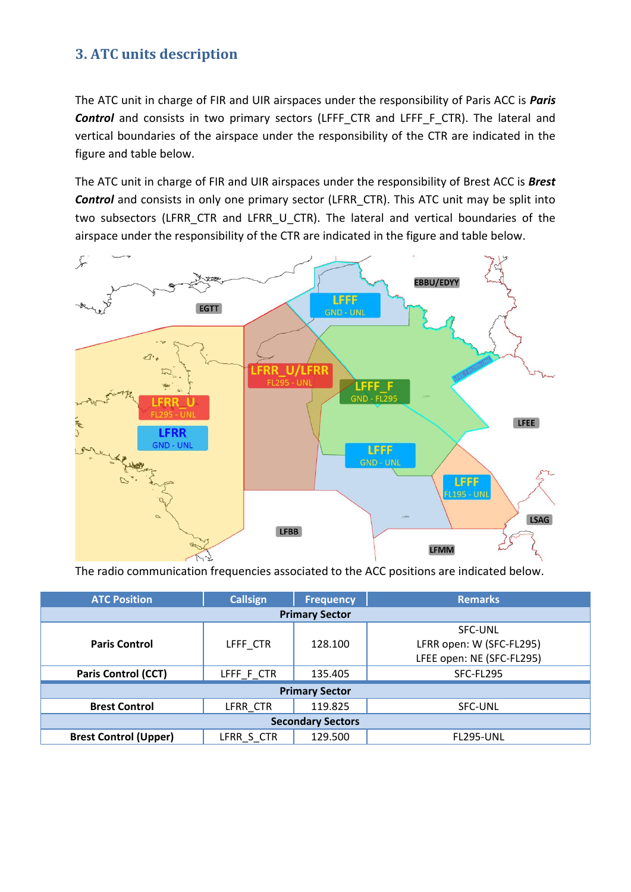#### **3. ATC units description**

The ATC unit in charge of FIR and UIR airspaces under the responsibility of Paris ACC is *Paris*  **Control** and consists in two primary sectors (LFFF\_CTR and LFFF\_F\_CTR). The lateral and vertical boundaries of the airspace under the responsibility of the CTR are indicated in the figure and table below.

The ATC unit in charge of FIR and UIR airspaces under the responsibility of Brest ACC is *Brest Control* and consists in only one primary sector (LFRR\_CTR). This ATC unit may be split into two subsectors (LFRR CTR and LFRR U CTR). The lateral and vertical boundaries of the airspace under the responsibility of the CTR are indicated in the figure and table below.



The radio communication frequencies associated to the ACC positions are indicated below.

| <b>ATC Position</b>          | <b>Callsign</b> | <b>Frequency</b> | <b>Remarks</b>            |  |  |  |  |  |
|------------------------------|-----------------|------------------|---------------------------|--|--|--|--|--|
| <b>Primary Sector</b>        |                 |                  |                           |  |  |  |  |  |
|                              |                 |                  | <b>SFC-UNL</b>            |  |  |  |  |  |
| <b>Paris Control</b>         | LFFF CTR        | 128.100          | LFRR open: W (SFC-FL295)  |  |  |  |  |  |
|                              |                 |                  | LFEE open: NE (SFC-FL295) |  |  |  |  |  |
| <b>Paris Control (CCT)</b>   | LFFF_F_CTR      | 135.405          | SFC-FL295                 |  |  |  |  |  |
| <b>Primary Sector</b>        |                 |                  |                           |  |  |  |  |  |
| <b>Brest Control</b>         | LFRR CTR        | 119.825          | SFC-UNL                   |  |  |  |  |  |
| <b>Secondary Sectors</b>     |                 |                  |                           |  |  |  |  |  |
| <b>Brest Control (Upper)</b> | LFRR S CTR      | 129.500          | FL295-UNL                 |  |  |  |  |  |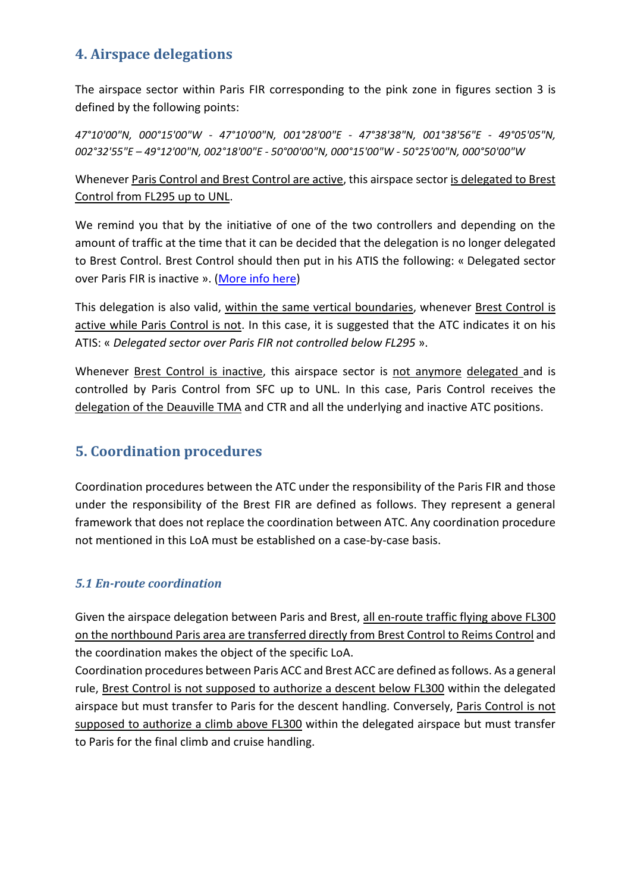#### **4. Airspace delegations**

The airspace sector within Paris FIR corresponding to the pink zone in figures section 3 is defined by the following points:

*47°10'00"N, 000°15'00"W - 47°10'00"N, 001°28'00"E - 47°38'38"N, 001°38'56"E - 49°05'05"N, 002°32'55"E – 49°12'00"N, 002°18'00"E - 50°00'00"N, 000°15'00"W - 50°25'00"N, 000°50'00"W*

Whenever Paris Control and Brest Control are active, this airspace sector is delegated to Brest Control from FL295 up to UNL.

We remind you that by the initiative of one of the two controllers and depending on the amount of traffic at the time that it can be decided that the delegation is no longer delegated to Brest Control. Brest Control should then put in his ATIS the following: « Delegated sector over Paris FIR is inactive ». [\(More info here\)](http://fr.forum.ivao.aero/index.php?topic=292581.0)

This delegation is also valid, within the same vertical boundaries, whenever Brest Control is active while Paris Control is not. In this case, it is suggested that the ATC indicates it on his ATIS: « *Delegated sector over Paris FIR not controlled below FL295* ».

Whenever Brest Control is inactive, this airspace sector is not anymore delegated and is controlled by Paris Control from SFC up to UNL. In this case, Paris Control receives the delegation of the Deauville TMA and CTR and all the underlying and inactive ATC positions.

#### **5. Coordination procedures**

Coordination procedures between the ATC under the responsibility of the Paris FIR and those under the responsibility of the Brest FIR are defined as follows. They represent a general framework that does not replace the coordination between ATC. Any coordination procedure not mentioned in this LoA must be established on a case-by-case basis.

#### *5.1 En-route coordination*

Given the airspace delegation between Paris and Brest, all en-route traffic flying above FL300 on the northbound Paris area are transferred directly from Brest Control to Reims Control and the coordination makes the object of the specific LoA.

Coordination procedures between Paris ACC and Brest ACC are defined as follows. As a general rule, Brest Control is not supposed to authorize a descent below FL300 within the delegated airspace but must transfer to Paris for the descent handling. Conversely, Paris Control is not supposed to authorize a climb above FL300 within the delegated airspace but must transfer to Paris for the final climb and cruise handling.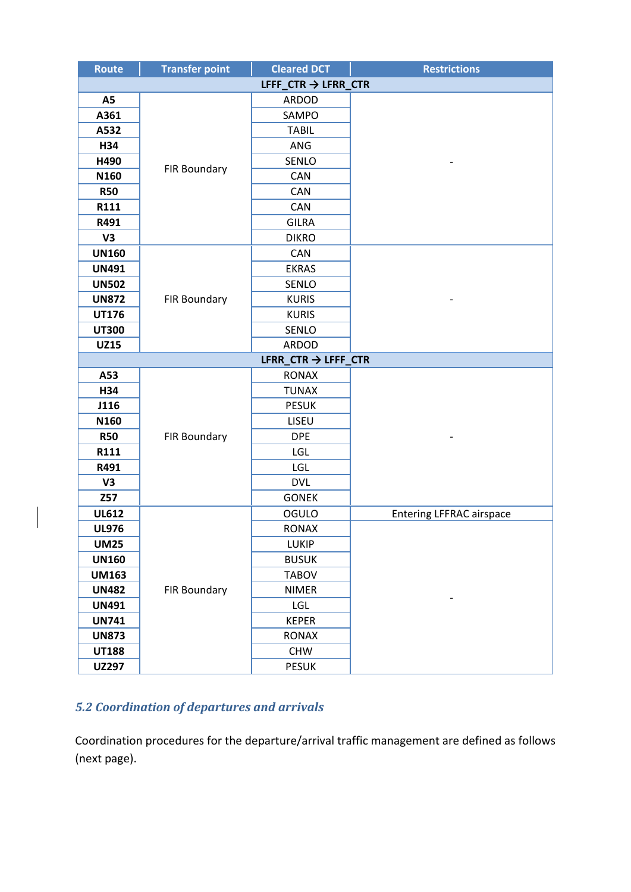| <b>Route</b> | <b>Transfer point</b>           | <b>Cleared DCT</b>              | <b>Restrictions</b>             |  |  |  |  |
|--------------|---------------------------------|---------------------------------|---------------------------------|--|--|--|--|
|              | LFFF_CTR $\rightarrow$ LFRR_CTR |                                 |                                 |  |  |  |  |
| A5           |                                 | ARDOD                           |                                 |  |  |  |  |
| A361         |                                 | SAMPO                           |                                 |  |  |  |  |
| A532         |                                 | <b>TABIL</b>                    |                                 |  |  |  |  |
| H34          |                                 | ANG                             |                                 |  |  |  |  |
| H490         |                                 | SENLO                           |                                 |  |  |  |  |
| N160         | FIR Boundary                    | CAN                             |                                 |  |  |  |  |
| <b>R50</b>   |                                 | CAN                             |                                 |  |  |  |  |
| R111         |                                 | <b>CAN</b>                      |                                 |  |  |  |  |
| R491         |                                 | <b>GILRA</b>                    |                                 |  |  |  |  |
| V3           |                                 | <b>DIKRO</b>                    |                                 |  |  |  |  |
| <b>UN160</b> |                                 | CAN                             |                                 |  |  |  |  |
| <b>UN491</b> |                                 | <b>EKRAS</b>                    |                                 |  |  |  |  |
| <b>UN502</b> |                                 | SENLO                           |                                 |  |  |  |  |
| <b>UN872</b> | <b>FIR Boundary</b>             | <b>KURIS</b>                    |                                 |  |  |  |  |
| <b>UT176</b> |                                 | <b>KURIS</b>                    |                                 |  |  |  |  |
| <b>UT300</b> |                                 | SENLO                           |                                 |  |  |  |  |
| <b>UZ15</b>  |                                 | ARDOD                           |                                 |  |  |  |  |
|              |                                 | LFRR_CTR $\rightarrow$ LFFF_CTR |                                 |  |  |  |  |
| A53          |                                 | <b>RONAX</b>                    |                                 |  |  |  |  |
| H34          |                                 | <b>TUNAX</b>                    |                                 |  |  |  |  |
| J116         |                                 | <b>PESUK</b>                    |                                 |  |  |  |  |
| N160         |                                 | LISEU                           |                                 |  |  |  |  |
| <b>R50</b>   | FIR Boundary                    | <b>DPE</b>                      |                                 |  |  |  |  |
| R111         |                                 | LGL                             |                                 |  |  |  |  |
| R491         |                                 | LGL                             |                                 |  |  |  |  |
| V3           |                                 | <b>DVL</b>                      |                                 |  |  |  |  |
| Z57          |                                 | <b>GONEK</b>                    |                                 |  |  |  |  |
| <b>UL612</b> |                                 | OGULO                           | <b>Entering LFFRAC airspace</b> |  |  |  |  |
| <b>UL976</b> |                                 | <b>RONAX</b>                    |                                 |  |  |  |  |
| <b>UM25</b>  |                                 | LUKIP                           |                                 |  |  |  |  |
| <b>UN160</b> |                                 | <b>BUSUK</b>                    |                                 |  |  |  |  |
| <b>UM163</b> |                                 | <b>TABOV</b>                    |                                 |  |  |  |  |
| <b>UN482</b> | <b>FIR Boundary</b>             | <b>NIMER</b>                    |                                 |  |  |  |  |
| <b>UN491</b> |                                 | LGL                             |                                 |  |  |  |  |
| <b>UN741</b> |                                 | <b>KEPER</b>                    |                                 |  |  |  |  |
| <b>UN873</b> |                                 | <b>RONAX</b>                    |                                 |  |  |  |  |
| <b>UT188</b> |                                 | <b>CHW</b>                      |                                 |  |  |  |  |
| <b>UZ297</b> |                                 | <b>PESUK</b>                    |                                 |  |  |  |  |

#### *5.2 Coordination of departures and arrivals*

 $\overline{\phantom{a}}$ 

Coordination procedures for the departure/arrival traffic management are defined as follows (next page).